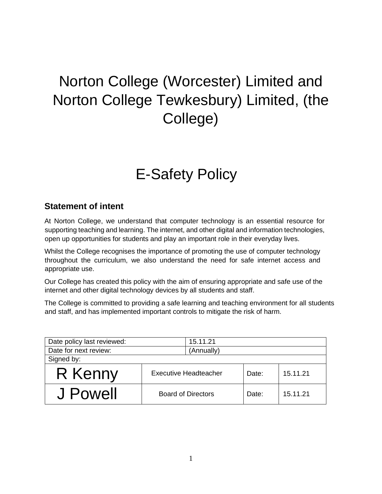# Norton College (Worcester) Limited and Norton College Tewkesbury) Limited, (the College)

## E-Safety Policy

## **Statement of intent**

At Norton College, we understand that computer technology is an essential resource for supporting teaching and learning. The internet, and other digital and information technologies, open up opportunities for students and play an important role in their everyday lives.

Whilst the College recognises the importance of promoting the use of computer technology throughout the curriculum, we also understand the need for safe internet access and appropriate use.

Our College has created this policy with the aim of ensuring appropriate and safe use of the internet and other digital technology devices by all students and staff.

The College is committed to providing a safe learning and teaching environment for all students and staff, and has implemented important controls to mitigate the risk of harm.

| Date policy last reviewed: | 15.11.21                     |       |          |
|----------------------------|------------------------------|-------|----------|
| Date for next review:      | (Annually)                   |       |          |
| Signed by:                 |                              |       |          |
| R Kenny                    | <b>Executive Headteacher</b> | Date: | 15.11.21 |
| J Powell                   | <b>Board of Directors</b>    | Date: | 15.11.21 |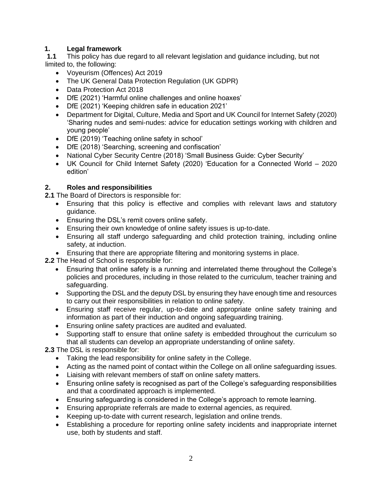## **1. Legal framework**

**1.1** This policy has due regard to all relevant legislation and guidance including, but not limited to, the following:

- Voyeurism (Offences) Act 2019
- The UK General Data Protection Regulation (UK GDPR)
- Data Protection Act 2018
- DfE (2021) 'Harmful online challenges and online hoaxes'
- DfE (2021) 'Keeping children safe in education 2021'
- Department for Digital, Culture, Media and Sport and UK Council for Internet Safety (2020) 'Sharing nudes and semi-nudes: advice for education settings working with children and young people'
- DfE (2019) 'Teaching online safety in school'
- DfE (2018) 'Searching, screening and confiscation'
- National Cyber Security Centre (2018) 'Small Business Guide: Cyber Security'
- UK Council for Child Internet Safety (2020) 'Education for a Connected World 2020 edition'

#### **2. Roles and responsibilities**

**2.1** The Board of Directors is responsible for:

- Ensuring that this policy is effective and complies with relevant laws and statutory guidance.
- Ensuring the DSL's remit covers online safety.
- Ensuring their own knowledge of online safety issues is up-to-date.
- Ensuring all staff undergo safeguarding and child protection training, including online safety, at induction.
- Ensuring that there are appropriate filtering and monitoring systems in place.

**2.2** The Head of School is responsible for:

- Ensuring that online safety is a running and interrelated theme throughout the College's policies and procedures, including in those related to the curriculum, teacher training and safeguarding.
- Supporting the DSL and the deputy DSL by ensuring they have enough time and resources to carry out their responsibilities in relation to online safety.
- Ensuring staff receive regular, up-to-date and appropriate online safety training and information as part of their induction and ongoing safeguarding training.
- Ensuring online safety practices are audited and evaluated.
- Supporting staff to ensure that online safety is embedded throughout the curriculum so that all students can develop an appropriate understanding of online safety.

**2.3** The DSL is responsible for:

- Taking the lead responsibility for online safety in the College.
- Acting as the named point of contact within the College on all online safeguarding issues.
- Liaising with relevant members of staff on online safety matters.
- Ensuring online safety is recognised as part of the College's safeguarding responsibilities and that a coordinated approach is implemented.
- Ensuring safeguarding is considered in the College's approach to remote learning.
- Ensuring appropriate referrals are made to external agencies, as required.
- Keeping up-to-date with current research, legislation and online trends.
- Establishing a procedure for reporting online safety incidents and inappropriate internet use, both by students and staff.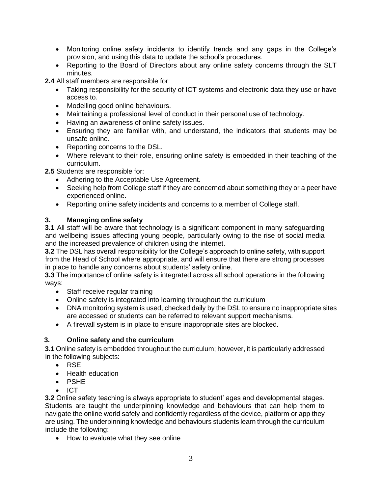- Monitoring online safety incidents to identify trends and any gaps in the College's provision, and using this data to update the school's procedures.
- Reporting to the Board of Directors about any online safety concerns through the SLT minutes.

**2.4** All staff members are responsible for:

- Taking responsibility for the security of ICT systems and electronic data they use or have access to.
- Modelling good online behaviours.
- Maintaining a professional level of conduct in their personal use of technology.
- Having an awareness of online safety issues.
- Ensuring they are familiar with, and understand, the indicators that students may be unsafe online.
- Reporting concerns to the DSL.
- Where relevant to their role, ensuring online safety is embedded in their teaching of the curriculum.

**2.5** Students are responsible for:

- Adhering to the Acceptable Use Agreement.
- Seeking help from College staff if they are concerned about something they or a peer have experienced online.
- Reporting online safety incidents and concerns to a member of College staff.

## **3. Managing online safety**

**3.1** All staff will be aware that technology is a significant component in many safeguarding and wellbeing issues affecting young people, particularly owing to the rise of social media and the increased prevalence of children using the internet.

**3.2** The DSL has overall responsibility for the College's approach to online safety, with support from the Head of School where appropriate, and will ensure that there are strong processes in place to handle any concerns about students' safety online.

**3.3** The importance of online safety is integrated across all school operations in the following ways:

- Staff receive regular training
- Online safety is integrated into learning throughout the curriculum
- DNA monitoring system is used, checked daily by the DSL to ensure no inappropriate sites are accessed or students can be referred to relevant support mechanisms.
- A firewall system is in place to ensure inappropriate sites are blocked.

## **3. Online safety and the curriculum**

**3.1** Online safety is embedded throughout the curriculum; however, it is particularly addressed in the following subjects:

- RSE
- Health education
- PSHE
- ICT

**3.2** Online safety teaching is always appropriate to student' ages and developmental stages. Students are taught the underpinning knowledge and behaviours that can help them to navigate the online world safely and confidently regardless of the device, platform or app they are using. The underpinning knowledge and behaviours students learn through the curriculum include the following:

• How to evaluate what they see online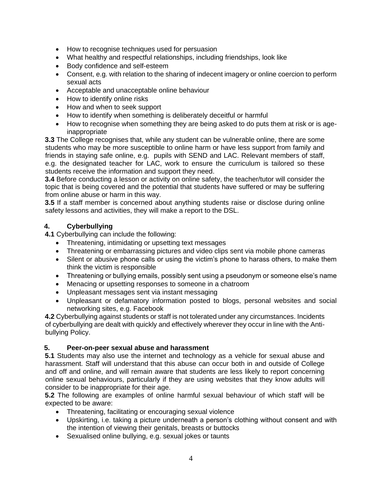- How to recognise techniques used for persuasion
- What healthy and respectful relationships, including friendships, look like
- Body confidence and self-esteem
- Consent, e.g. with relation to the sharing of indecent imagery or online coercion to perform sexual acts
- Acceptable and unacceptable online behaviour
- How to identify online risks
- How and when to seek support
- How to identify when something is deliberately deceitful or harmful
- How to recognise when something they are being asked to do puts them at risk or is ageinappropriate

**3.3** The College recognises that, while any student can be vulnerable online, there are some students who may be more susceptible to online harm or have less support from family and friends in staying safe online, e.g. pupils with SEND and LAC. Relevant members of staff, e.g. the designated teacher for LAC, work to ensure the curriculum is tailored so these students receive the information and support they need.

**3.4** Before conducting a lesson or activity on online safety, the teacher/tutor will consider the topic that is being covered and the potential that students have suffered or may be suffering from online abuse or harm in this way.

**3.5** If a staff member is concerned about anything students raise or disclose during online safety lessons and activities, they will make a report to the DSL.

## **4. Cyberbullying**

**4.1** Cyberbullying can include the following:

- Threatening, intimidating or upsetting text messages
- Threatening or embarrassing pictures and video clips sent via mobile phone cameras
- Silent or abusive phone calls or using the victim's phone to harass others, to make them think the victim is responsible
- Threatening or bullying emails, possibly sent using a pseudonym or someone else's name
- Menacing or upsetting responses to someone in a chatroom
- Unpleasant messages sent via instant messaging
- Unpleasant or defamatory information posted to blogs, personal websites and social networking sites, e.g. Facebook

**4.2** Cyberbullying against students or staff is not tolerated under any circumstances. Incidents of cyberbullying are dealt with quickly and effectively wherever they occur in line with the Antibullying Policy.

## **5. Peer-on-peer sexual abuse and harassment**

**5.1** Students may also use the internet and technology as a vehicle for sexual abuse and harassment. Staff will understand that this abuse can occur both in and outside of College and off and online, and will remain aware that students are less likely to report concerning online sexual behaviours, particularly if they are using websites that they know adults will consider to be inappropriate for their age.

**5.2** The following are examples of online harmful sexual behaviour of which staff will be expected to be aware:

- Threatening, facilitating or encouraging sexual violence
- Upskirting, i.e. taking a picture underneath a person's clothing without consent and with the intention of viewing their genitals, breasts or buttocks
- Sexualised online bullying, e.g. sexual jokes or taunts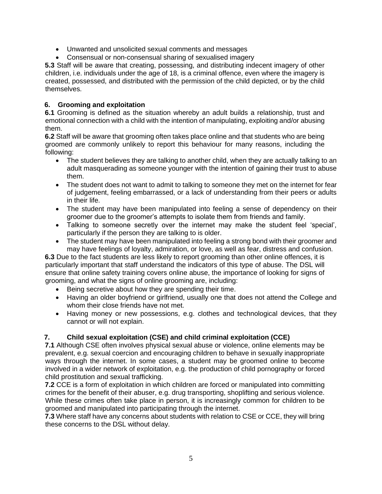- Unwanted and unsolicited sexual comments and messages
- Consensual or non-consensual sharing of sexualised imagery

**5.3** Staff will be aware that creating, possessing, and distributing indecent imagery of other children, i.e. individuals under the age of 18, is a criminal offence, even where the imagery is created, possessed, and distributed with the permission of the child depicted, or by the child themselves.

#### **6. Grooming and exploitation**

**6.1** Grooming is defined as the situation whereby an adult builds a relationship, trust and emotional connection with a child with the intention of manipulating, exploiting and/or abusing them.

**6.2** Staff will be aware that grooming often takes place online and that students who are being groomed are commonly unlikely to report this behaviour for many reasons, including the following:

- The student believes they are talking to another child, when they are actually talking to an adult masquerading as someone younger with the intention of gaining their trust to abuse them.
- The student does not want to admit to talking to someone they met on the internet for fear of judgement, feeling embarrassed, or a lack of understanding from their peers or adults in their life.
- The student may have been manipulated into feeling a sense of dependency on their groomer due to the groomer's attempts to isolate them from friends and family.
- Talking to someone secretly over the internet may make the student feel 'special', particularly if the person they are talking to is older.
- The student may have been manipulated into feeling a strong bond with their groomer and may have feelings of loyalty, admiration, or love, as well as fear, distress and confusion.

**6.3** Due to the fact students are less likely to report grooming than other online offences, it is particularly important that staff understand the indicators of this type of abuse. The DSL will ensure that online safety training covers online abuse, the importance of looking for signs of grooming, and what the signs of online grooming are, including:

- Being secretive about how they are spending their time.
- Having an older boyfriend or girlfriend, usually one that does not attend the College and whom their close friends have not met.
- Having money or new possessions, e.g. clothes and technological devices, that they cannot or will not explain.

## **7. Child sexual exploitation (CSE) and child criminal exploitation (CCE)**

**7.1** Although CSE often involves physical sexual abuse or violence, online elements may be prevalent, e.g. sexual coercion and encouraging children to behave in sexually inappropriate ways through the internet. In some cases, a student may be groomed online to become involved in a wider network of exploitation, e.g. the production of child pornography or forced child prostitution and sexual trafficking.

**7.2** CCE is a form of exploitation in which children are forced or manipulated into committing crimes for the benefit of their abuser, e.g. drug transporting, shoplifting and serious violence. While these crimes often take place in person, it is increasingly common for children to be groomed and manipulated into participating through the internet.

**7.3** Where staff have any concerns about students with relation to CSE or CCE, they will bring these concerns to the DSL without delay.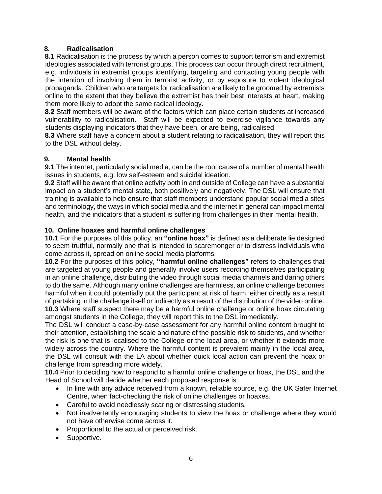## **8. Radicalisation**

**8.1** Radicalisation is the process by which a person comes to support terrorism and extremist ideologies associated with terrorist groups. This process can occur through direct recruitment, e.g. individuals in extremist groups identifying, targeting and contacting young people with the intention of involving them in terrorist activity, or by exposure to violent ideological propaganda. Children who are targets for radicalisation are likely to be groomed by extremists online to the extent that they believe the extremist has their best interests at heart, making them more likely to adopt the same radical ideology.

**8.2** Staff members will be aware of the factors which can place certain students at increased vulnerability to radicalisation. Staff will be expected to exercise vigilance towards any students displaying indicators that they have been, or are being, radicalised.

**8.3** Where staff have a concern about a student relating to radicalisation, they will report this to the DSL without delay.

## **9. Mental health**

**9.1** The internet, particularly social media, can be the root cause of a number of mental health issues in students, e.g. low self-esteem and suicidal ideation.

**9.2** Staff will be aware that online activity both in and outside of College can have a substantial impact on a student's mental state, both positively and negatively. The DSL will ensure that training is available to help ensure that staff members understand popular social media sites and terminology, the ways in which social media and the internet in general can impact mental health, and the indicators that a student is suffering from challenges in their mental health.

## **10. Online hoaxes and harmful online challenges**

**10.1** For the purposes of this policy, an **"online hoax"** is defined as a deliberate lie designed to seem truthful, normally one that is intended to scaremonger or to distress individuals who come across it, spread on online social media platforms.

**10.2** For the purposes of this policy, **"harmful online challenges"** refers to challenges that are targeted at young people and generally involve users recording themselves participating in an online challenge, distributing the video through social media channels and daring others to do the same. Although many online challenges are harmless, an online challenge becomes harmful when it could potentially put the participant at risk of harm, either directly as a result of partaking in the challenge itself or indirectly as a result of the distribution of the video online. **10.3** Where staff suspect there may be a harmful online challenge or online hoax circulating amongst students in the College, they will report this to the DSL immediately.

The DSL will conduct a case-by-case assessment for any harmful online content brought to their attention, establishing the scale and nature of the possible risk to students, and whether the risk is one that is localised to the College or the local area, or whether it extends more widely across the country. Where the harmful content is prevalent mainly in the local area, the DSL will consult with the LA about whether quick local action can prevent the hoax or challenge from spreading more widely.

**10.4** Prior to deciding how to respond to a harmful online challenge or hoax, the DSL and the Head of School will decide whether each proposed response is:

- In line with any advice received from a known, reliable source, e.g. the UK Safer Internet Centre, when fact-checking the risk of online challenges or hoaxes.
- Careful to avoid needlessly scaring or distressing students.
- Not inadvertently encouraging students to view the hoax or challenge where they would not have otherwise come across it.
- Proportional to the actual or perceived risk.
- Supportive.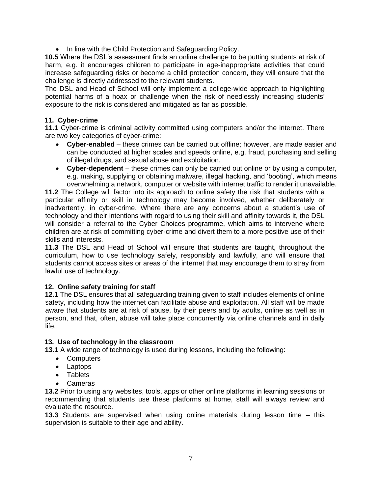• In line with the Child Protection and Safeguarding Policy.

**10.5** Where the DSL's assessment finds an online challenge to be putting students at risk of harm, e.g. it encourages children to participate in age-inappropriate activities that could increase safeguarding risks or become a child protection concern, they will ensure that the challenge is directly addressed to the relevant students.

The DSL and Head of School will only implement a college-wide approach to highlighting potential harms of a hoax or challenge when the risk of needlessly increasing students' exposure to the risk is considered and mitigated as far as possible.

#### **11. Cyber-crime**

**11.1** Cyber-crime is criminal activity committed using computers and/or the internet. There are two key categories of cyber-crime:

- **Cyber-enabled** these crimes can be carried out offline; however, are made easier and can be conducted at higher scales and speeds online, e.g. fraud, purchasing and selling of illegal drugs, and sexual abuse and exploitation.
- **Cyber-dependent**  these crimes can only be carried out online or by using a computer, e.g. making, supplying or obtaining malware, illegal hacking, and 'booting', which means overwhelming a network, computer or website with internet traffic to render it unavailable.

**11.2** The College will factor into its approach to online safety the risk that students with a particular affinity or skill in technology may become involved, whether deliberately or inadvertently, in cyber-crime. Where there are any concerns about a student's use of technology and their intentions with regard to using their skill and affinity towards it, the DSL will consider a referral to the Cyber Choices programme, which aims to intervene where children are at risk of committing cyber-crime and divert them to a more positive use of their skills and interests.

**11.3** The DSL and Head of School will ensure that students are taught, throughout the curriculum, how to use technology safely, responsibly and lawfully, and will ensure that students cannot access sites or areas of the internet that may encourage them to stray from lawful use of technology.

#### **12. Online safety training for staff**

**12.1** The DSL ensures that all safeguarding training given to staff includes elements of online safety, including how the internet can facilitate abuse and exploitation. All staff will be made aware that students are at risk of abuse, by their peers and by adults, online as well as in person, and that, often, abuse will take place concurrently via online channels and in daily life.

#### **13. Use of technology in the classroom**

**13.1** A wide range of technology is used during lessons, including the following:

- Computers
- Laptops
- Tablets
- Cameras

**13.2** Prior to using any websites, tools, apps or other online platforms in learning sessions or recommending that students use these platforms at home, staff will always review and evaluate the resource.

**13.3** Students are supervised when using online materials during lesson time – this supervision is suitable to their age and ability.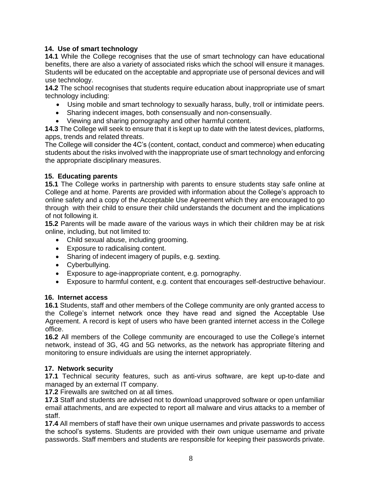#### **14. Use of smart technology**

**14.1** While the College recognises that the use of smart technology can have educational benefits, there are also a variety of associated risks which the school will ensure it manages. Students will be educated on the acceptable and appropriate use of personal devices and will use technology.

**14.2** The school recognises that students require education about inappropriate use of smart technology including:

- Using mobile and smart technology to sexually harass, bully, troll or intimidate peers.
- Sharing indecent images, both consensually and non-consensually.
- Viewing and sharing pornography and other harmful content.

**14.3** The College will seek to ensure that it is kept up to date with the latest devices, platforms, apps, trends and related threats.

The College will consider the 4C's (content, contact, conduct and commerce) when educating students about the risks involved with the inappropriate use of smart technology and enforcing the appropriate disciplinary measures.

#### **15. Educating parents**

**15.1** The College works in partnership with parents to ensure students stay safe online at College and at home. Parents are provided with information about the College's approach to online safety and a copy of the Acceptable Use Agreement which they are encouraged to go through with their child to ensure their child understands the document and the implications of not following it.

**15.2** Parents will be made aware of the various ways in which their children may be at risk online, including, but not limited to:

- Child sexual abuse, including grooming.
- Exposure to radicalising content.
- Sharing of indecent imagery of pupils, e.g. sexting.
- Cyberbullying.
- Exposure to age-inappropriate content, e.g. pornography.
- Exposure to harmful content, e.g. content that encourages self-destructive behaviour.

#### **16. Internet access**

**16.1** Students, staff and other members of the College community are only granted access to the College's internet network once they have read and signed the Acceptable Use Agreement. A record is kept of users who have been granted internet access in the College office.

**16.2** All members of the College community are encouraged to use the College's internet network, instead of 3G, 4G and 5G networks, as the network has appropriate filtering and monitoring to ensure individuals are using the internet appropriately.

#### **17. Network security**

**17.1** Technical security features, such as anti-virus software, are kept up-to-date and managed by an external IT company.

**17.2** Firewalls are switched on at all times.

**17.3** Staff and students are advised not to download unapproved software or open unfamiliar email attachments, and are expected to report all malware and virus attacks to a member of staff.

**17.4** All members of staff have their own unique usernames and private passwords to access the school's systems. Students are provided with their own unique username and private passwords. Staff members and students are responsible for keeping their passwords private.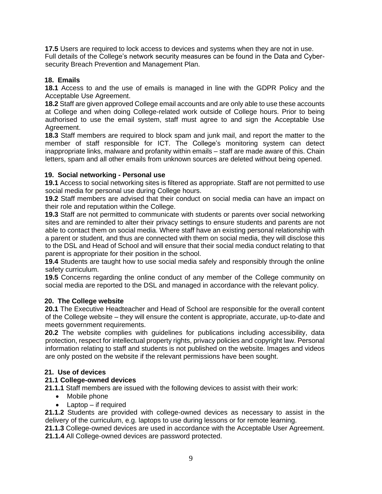**17.5** Users are required to lock access to devices and systems when they are not in use. Full details of the College's network security measures can be found in the Data and Cybersecurity Breach Prevention and Management Plan.

#### **18. Emails**

**18.1** Access to and the use of emails is managed in line with the GDPR Policy and the Acceptable Use Agreement.

**18.2** Staff are given approved College email accounts and are only able to use these accounts at College and when doing College-related work outside of College hours. Prior to being authorised to use the email system, staff must agree to and sign the Acceptable Use Agreement.

**18.3** Staff members are required to block spam and junk mail, and report the matter to the member of staff responsible for ICT. The College's monitoring system can detect inappropriate links, malware and profanity within emails – staff are made aware of this. Chain letters, spam and all other emails from unknown sources are deleted without being opened.

#### **19. Social networking - Personal use**

**19.1** Access to social networking sites is filtered as appropriate. Staff are not permitted to use social media for personal use during College hours.

**19.2** Staff members are advised that their conduct on social media can have an impact on their role and reputation within the College.

**19.3** Staff are not permitted to communicate with students or parents over social networking sites and are reminded to alter their privacy settings to ensure students and parents are not able to contact them on social media. Where staff have an existing personal relationship with a parent or student, and thus are connected with them on social media, they will disclose this to the DSL and Head of School and will ensure that their social media conduct relating to that parent is appropriate for their position in the school.

**19.4** Students are taught how to use social media safely and responsibly through the online safety curriculum.

**19.5** Concerns regarding the online conduct of any member of the College community on social media are reported to the DSL and managed in accordance with the relevant policy.

#### **20. The College website**

**20.1** The Executive Headteacher and Head of School are responsible for the overall content of the College website – they will ensure the content is appropriate, accurate, up-to-date and meets government requirements.

**20.2** The website complies with guidelines for publications including accessibility, data protection, respect for intellectual property rights, privacy policies and copyright law. Personal information relating to staff and students is not published on the website. Images and videos are only posted on the website if the relevant permissions have been sought.

## **21. Use of devices**

## **21.1 College-owned devices**

**21.1.1** Staff members are issued with the following devices to assist with their work:

- Mobile phone
- Laptop if required

**21.1.2** Students are provided with college-owned devices as necessary to assist in the delivery of the curriculum, e.g. laptops to use during lessons or for remote learning.

**21.1.3** College-owned devices are used in accordance with the Acceptable User Agreement. **21.1.4** All College-owned devices are password protected.